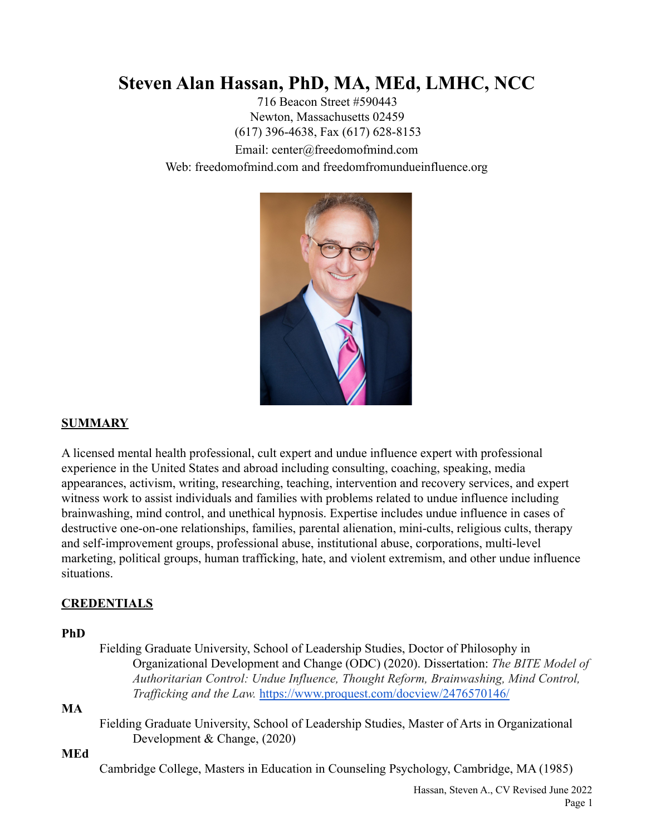# **Steven Alan Hassan, PhD, MA, MEd, LMHC, NCC**

716 Beacon Street #590443 Newton, Massachusetts 02459 (617) 396-4638, Fax (617) 628-8153 Email: center@freedomofmind.com Web: freedomofmind.com and freedomfromundueinfluence.org



## **SUMMARY**

A licensed mental health professional, cult expert and undue influence expert with professional experience in the United States and abroad including consulting, coaching, speaking, media appearances, activism, writing, researching, teaching, intervention and recovery services, and expert witness work to assist individuals and families with problems related to undue influence including brainwashing, mind control, and unethical hypnosis. Expertise includes undue influence in cases of destructive one-on-one relationships, families, parental alienation, mini-cults, religious cults, therapy and self-improvement groups, professional abuse, institutional abuse, corporations, multi-level marketing, political groups, human trafficking, hate, and violent extremism, and other undue influence situations.

## **CREDENTIALS**

#### **PhD**

Fielding Graduate University, School of Leadership Studies, Doctor of Philosophy in Organizational Development and Change (ODC) (2020). Dissertation: *The BITE Model of Authoritarian Control: Undue Influence, Thought Reform, Brainwashing, Mind Control, Trafficking and the Law.* <https://www.proquest.com/docview/2476570146/>

#### **MA**

Fielding Graduate University, School of Leadership Studies, Master of Arts in Organizational Development & Change, (2020)

#### **MEd**

Cambridge College, Masters in Education in Counseling Psychology, Cambridge, MA (1985)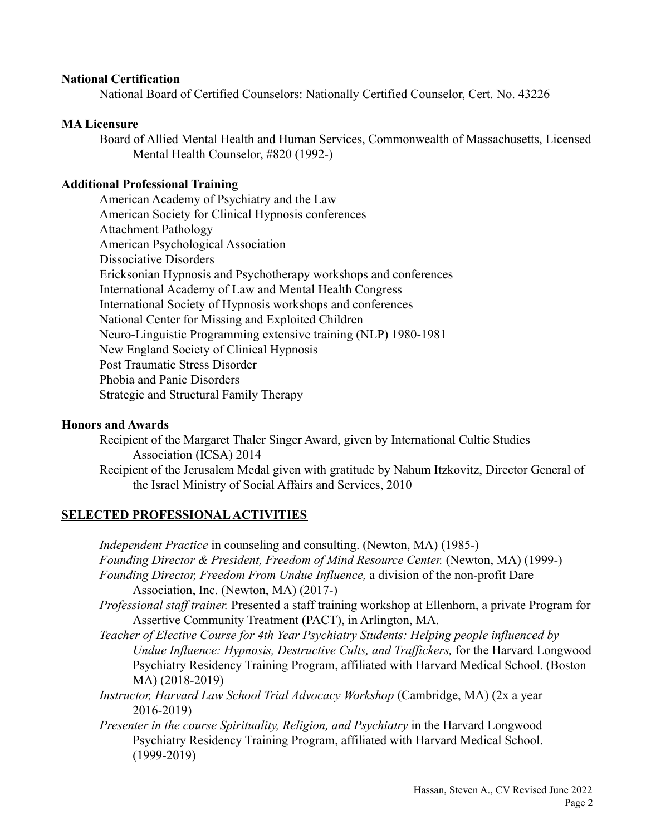#### **National Certification**

National Board of Certified Counselors: Nationally Certified Counselor, Cert. No. 43226

#### **MA Licensure**

Board of Allied Mental Health and Human Services, Commonwealth of Massachusetts, Licensed Mental Health Counselor, #820 (1992-)

#### **Additional Professional Training**

American Academy of Psychiatry and the Law American Society for Clinical Hypnosis conferences Attachment Pathology American Psychological Association Dissociative Disorders Ericksonian Hypnosis and Psychotherapy workshops and conferences International Academy of Law and Mental Health Congress International Society of Hypnosis workshops and conferences National Center for Missing and Exploited Children Neuro-Linguistic Programming extensive training (NLP) 1980-1981 New England Society of Clinical Hypnosis Post Traumatic Stress Disorder Phobia and Panic Disorders Strategic and Structural Family Therapy

#### **Honors and Awards**

Recipient of the Margaret Thaler Singer Award, given by International Cultic Studies Association (ICSA) 2014

Recipient of the Jerusalem Medal given with gratitude by Nahum Itzkovitz, Director General of the Israel Ministry of Social Affairs and Services, 2010

## **SELECTED PROFESSIONAL ACTIVITIES**

*Independent Practice* in counseling and consulting. (Newton, MA) (1985-) *Founding Director & President, Freedom of Mind Resource Center.* (Newton, MA) (1999-) *Founding Director, Freedom From Undue Influence,* a division of the non-profit Dare Association, Inc. (Newton, MA) (2017-)

- *Professional staff trainer.* Presented a staff training workshop at Ellenhorn, a private Program for Assertive Community Treatment (PACT), in Arlington, MA.
- *Teacher of Elective Course for 4th Year Psychiatry Students: Helping people influenced by Undue Influence: Hypnosis, Destructive Cults, and Traffickers,* for the Harvard Longwood Psychiatry Residency Training Program, affiliated with Harvard Medical School. (Boston MA) (2018-2019)
- *Instructor, Harvard Law School Trial Advocacy Workshop* (Cambridge, MA) (2x a year 2016-2019)
- *Presenter in the course Spirituality, Religion, and Psychiatry* in the Harvard Longwood Psychiatry Residency Training Program, affiliated with Harvard Medical School. (1999-2019)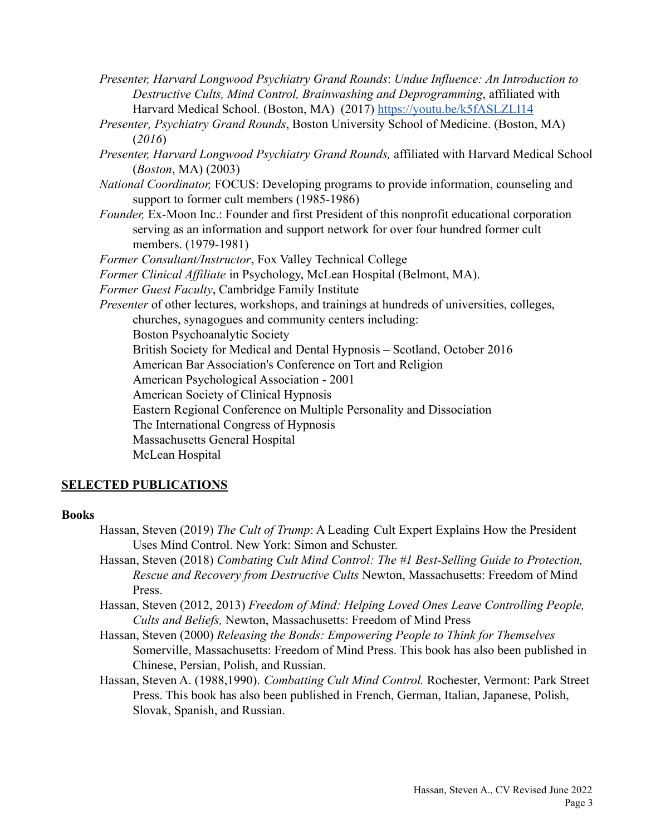- *Presenter, Harvard Longwood Psychiatry Grand Rounds*: *Undue Influence: An Introduction to Destructive Cults, Mind Control, Brainwashing and Deprogramming*, affiliated with Harvard Medical School. (Boston, MA) (2017) https://voutu.be/k5fASLZLI14
- *Presenter, Psychiatry Grand Rounds*, Boston University School of Medicine. (Boston, MA) (*2016*)
- *Presenter, Harvard Longwood Psychiatry Grand Rounds,* affiliated with Harvard Medical School (*Boston*, MA) (2003)
- *National Coordinator,* FOCUS: Developing programs to provide information, counseling and support to former cult members (1985-1986)
- *Founder,* Ex-Moon Inc.: Founder and first President of this nonprofit educational corporation serving as an information and support network for over four hundred former cult members. (1979-1981)

*Former Consultant/Instructor*, Fox Valley Technical College

*Former Clinical Affiliate* in Psychology, McLean Hospital (Belmont, MA).

*Former Guest Faculty*, Cambridge Family Institute

*Presenter* of other lectures, workshops, and trainings at hundreds of universities, colleges, churches, synagogues and community centers including: Boston Psychoanalytic Society British Society for Medical and Dental Hypnosis – Scotland, October 2016 American Bar Association's Conference on Tort and Religion American Psychological Association - 2001 American Society of Clinical Hypnosis Eastern Regional Conference on Multiple Personality and Dissociation The International Congress of Hypnosis Massachusetts General Hospital McLean Hospital

# **SELECTED PUBLICATIONS**

#### **Books**

- Hassan, Steven (2019) *The Cult of Trump*: A Leading Cult Expert Explains How the President Uses Mind Control. New York: Simon and Schuster.
- Hassan, Steven (2018) *Combating Cult Mind Control: The #1 Best-Selling Guide to Protection, Rescue and Recovery from Destructive Cults* Newton, Massachusetts: Freedom of Mind Press.
- Hassan, Steven (2012, 2013) *Freedom of Mind: Helping Loved Ones Leave Controlling People, Cults and Beliefs,* Newton, Massachusetts: Freedom of Mind Press
- Hassan, Steven (2000) *Releasing the Bonds: Empowering People to Think for Themselves* Somerville, Massachusetts: Freedom of Mind Press. This book has also been published in Chinese, Persian, Polish, and Russian.
- Hassan, Steven A. (1988,1990). *Combatting Cult Mind Control.* Rochester, Vermont: Park Street Press. This book has also been published in French, German, Italian, Japanese, Polish, Slovak, Spanish, and Russian.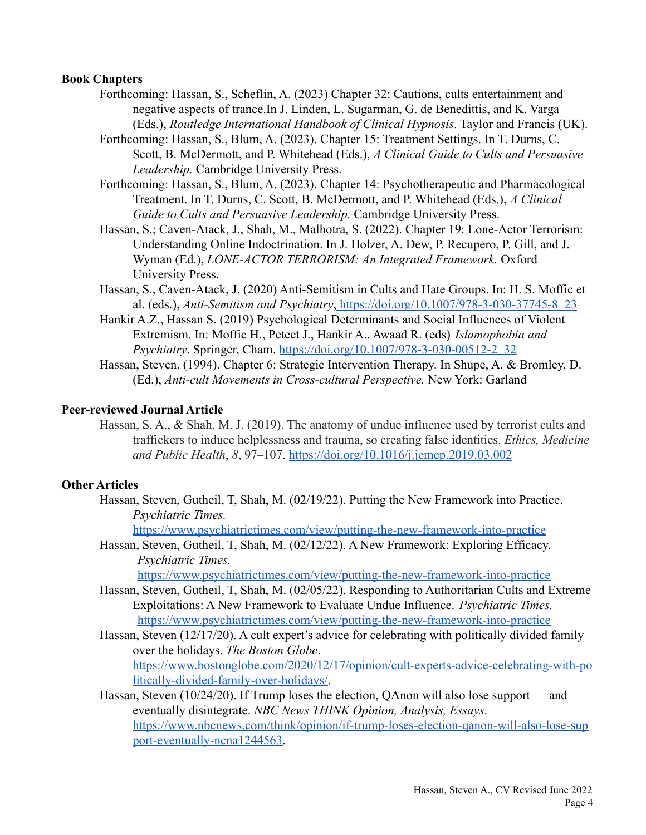#### **Book Chapters**

- Forthcoming: Hassan, S., Scheflin, A. (2023) Chapter 32: Cautions, cults entertainment and negative aspects of trance.In J. Linden, L. Sugarman, G. de Benedittis, and K. Varga (Eds.), *Routledge International Handbook of Clinical Hypnosis*. Taylor and Francis (UK).
- Forthcoming: Hassan, S., Blum, A. (2023). Chapter 15: Treatment Settings. In T. Durns, C. Scott, B. McDermott, and P. Whitehead (Eds.), *A Clinical Guide to Cults and Persuasive Leadership.* Cambridge University Press.
- Forthcoming: Hassan, S., Blum, A. (2023). Chapter 14: Psychotherapeutic and Pharmacological Treatment. In T. Durns, C. Scott, B. McDermott, and P. Whitehead (Eds.), *A Clinical Guide to Cults and Persuasive Leadership.* Cambridge University Press.
- Hassan, S.; Caven-Atack, J., Shah, M., Malhotra, S. (2022). Chapter 19: Lone-Actor Terrorism: Understanding Online Indoctrination. In J. Holzer, A. Dew, P. Recupero, P. Gill, and J. Wyman (Ed.), *LONE-ACTOR TERRORISM: An Integrated Framework.* Oxford University Press.
- Hassan, S., Caven-Atack, J. (2020) Anti-Semitism in Cults and Hate Groups. In: H. S. Moffic et al. (eds.), *Anti-Semitism and Psychiatry*, [https://doi.org/10.1007/978-3-030-37745-8\\_23](https://doi.org/10.1007/978-3-030-37745-8_23)
- Hankir A.Z., Hassan S. (2019) Psychological Determinants and Social Influences of Violent Extremism. In: Moffic H., Peteet J., Hankir A., Awaad R. (eds) *Islamophobia and Psychiatry*. Springer, Cham. [https://doi.org/10.1007/978-3-030-00512-2\\_32](https://doi.org/10.1007/978-3-030-00512-2_32)
- Hassan, Steven. (1994). Chapter 6: Strategic Intervention Therapy. In Shupe, A. & Bromley, D. (Ed.), *Anti-cult Movements in Cross-cultural Perspective.* New York: Garland

#### **Peer-reviewed Journal Article**

Hassan, S. A., & Shah, M. J. (2019). The anatomy of undue influence used by terrorist cults and traffickers to induce helplessness and trauma, so creating false identities. *Ethics, Medicine and Public Health*, *8*, 97–107. <https://doi.org/10.1016/j.jemep.2019.03.002>

## **Other Articles**

Hassan, Steven, Gutheil, T, Shah, M. (02/19/22). Putting the New Framework into Practice. *Psychiatric Times.*

<https://www.psychiatrictimes.com/view/putting-the-new-framework-into-practice>

Hassan, Steven, Gutheil, T, Shah, M. (02/12/22). A New Framework: Exploring Efficacy. *Psychiatric Times.*

<https://www.psychiatrictimes.com/view/putting-the-new-framework-into-practice>

- Hassan, Steven, Gutheil, T, Shah, M. (02/05/22). Responding to Authoritarian Cults and Extreme Exploitations: A New Framework to Evaluate Undue Influence. *Psychiatric Times.* <https://www.psychiatrictimes.com/view/putting-the-new-framework-into-practice>
- Hassan, Steven (12/17/20). A cult expert's advice for celebrating with politically divided family over the holidays. *The Boston Globe*. [https://www.bostonglobe.com/2020/12/17/opinion/cult-experts-advice-celebrating-with-po](https://www.bostonglobe.com/2020/12/17/opinion/cult-experts-advice-celebrating-with-politically-divided-family-over-holidays/) [litically-divided-family-over-holidays/.](https://www.bostonglobe.com/2020/12/17/opinion/cult-experts-advice-celebrating-with-politically-divided-family-over-holidays/)
- Hassan, Steven (10/24/20). If Trump loses the election, QAnon will also lose support and eventually disintegrate. *NBC News THINK Opinion, Analysis, Essays*. [https://www.nbcnews.com/think/opinion/if-trump-loses-election-qanon-will-also-lose-sup](https://www.nbcnews.com/think/opinion/if-trump-loses-election-qanon-will-also-lose-support-eventually-ncna1244563) [port-eventually-ncna1244563.](https://www.nbcnews.com/think/opinion/if-trump-loses-election-qanon-will-also-lose-support-eventually-ncna1244563)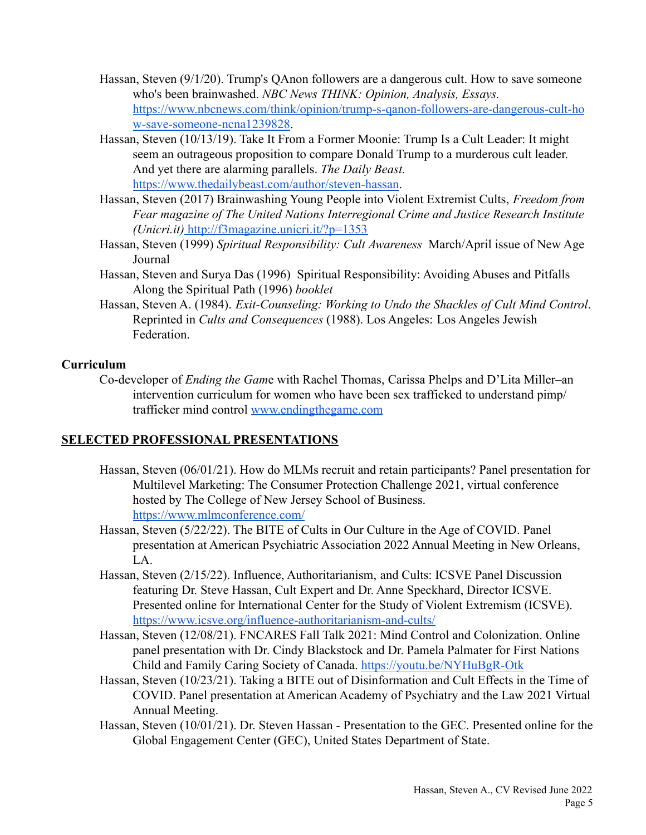- Hassan, Steven (9/1/20). Trump's QAnon followers are a dangerous cult. How to save someone who's been brainwashed. *NBC News THINK: Opinion, Analysis, Essays.* [https://www.nbcnews.com/think/opinion/trump-s-qanon-followers-are-dangerous-cult-ho](https://www.nbcnews.com/think/opinion/trump-s-qanon-followers-are-dangerous-cult-how-save-someone-ncna1239828) [w-save-someone-ncna1239828](https://www.nbcnews.com/think/opinion/trump-s-qanon-followers-are-dangerous-cult-how-save-someone-ncna1239828).
- Hassan, Steven (10/13/19). Take It From a Former Moonie: Trump Is a Cult Leader: It might seem an outrageous proposition to compare Donald Trump to a murderous cult leader. And yet there are alarming parallels. *The Daily Beast.* <https://www.thedailybeast.com/author/steven-hassan>.
- Hassan, Steven (2017) Brainwashing Young People into Violent Extremist Cults, *Freedom from Fear magazine of The United Nations Interregional Crime and Justice Research Institute ([Unicri.it\)](http://www.unicri.it/)* <http://f3magazine.unicri.it/?p=1353>
- Hassan, Steven (1999) *Spiritual Responsibility: Cult Awareness* March/April issue of New Age Journal
- Hassan, Steven and Surya Das (1996) Spiritual Responsibility: Avoiding Abuses and Pitfalls Along the Spiritual Path (1996) *booklet*
- Hassan, Steven A. (1984). *Exit-Counseling: Working to Undo the Shackles of Cult Mind Control*. Reprinted in *Cults and Consequences* (1988). Los Angeles: Los Angeles Jewish Federation.

## **Curriculum**

Co-developer of *Ending the Gam*e with Rachel Thomas, Carissa Phelps and D'Lita Miller–an intervention curriculum for women who have been sex trafficked to understand pimp/ trafficker mind control [www.endingthegame.com](http://www.endingthegame.com)

# **SELECTED PROFESSIONAL PRESENTATIONS**

- Hassan, Steven (06/01/21). How do MLMs recruit and retain participants? Panel presentation for Multilevel Marketing: The Consumer Protection Challenge 2021, virtual conference hosted by The College of New Jersey School of Business. <https://www.mlmconference.com/>
- Hassan, Steven (5/22/22). The BITE of Cults in Our Culture in the Age of COVID. Panel presentation at American Psychiatric Association 2022 Annual Meeting in New Orleans,  $L_A$
- Hassan, Steven (2/15/22). Influence, Authoritarianism, and Cults: ICSVE Panel Discussion featuring Dr. Steve Hassan, Cult Expert and Dr. Anne Speckhard, Director ICSVE. Presented online for International Center for the Study of Violent Extremism (ICSVE). <https://www.icsve.org/influence-authoritarianism-and-cults/>
- Hassan, Steven (12/08/21). FNCARES Fall Talk 2021: Mind Control and Colonization. Online panel presentation with Dr. Cindy Blackstock and Dr. Pamela Palmater for First Nations Child and Family Caring Society of Canada. <https://youtu.be/NYHuBgR-Otk>
- Hassan, Steven (10/23/21). Taking a BITE out of Disinformation and Cult Effects in the Time of COVID. Panel presentation at American Academy of Psychiatry and the Law 2021 Virtual Annual Meeting.
- Hassan, Steven (10/01/21). Dr. Steven Hassan Presentation to the GEC. Presented online for the Global Engagement Center (GEC), United States Department of State.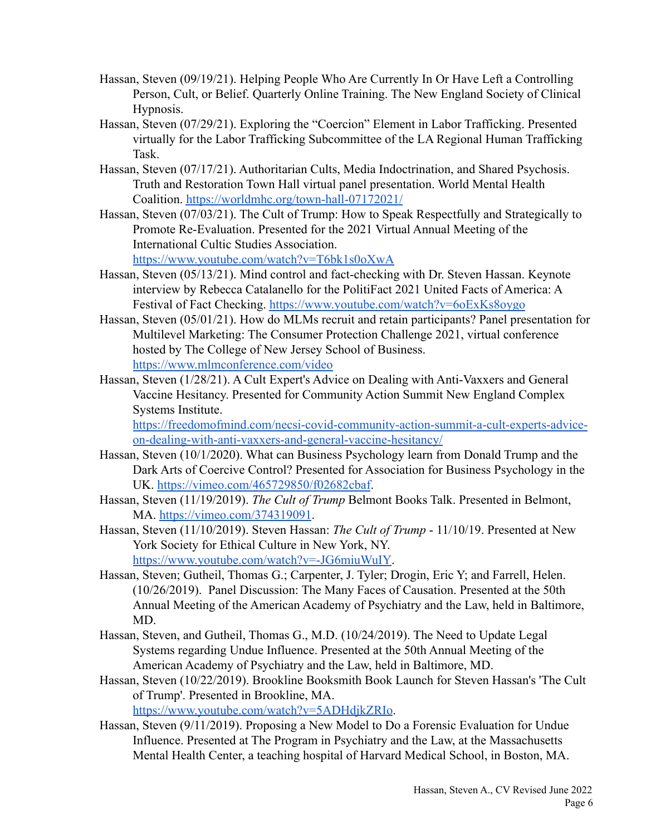- Hassan, Steven (09/19/21). Helping People Who Are Currently In Or Have Left a Controlling Person, Cult, or Belief. Quarterly Online Training. The New England Society of Clinical Hypnosis.
- Hassan, Steven (07/29/21). Exploring the "Coercion" Element in Labor Trafficking. Presented virtually for the Labor Trafficking Subcommittee of the LA Regional Human Trafficking Task.
- Hassan, Steven (07/17/21). Authoritarian Cults, Media Indoctrination, and Shared Psychosis. Truth and Restoration Town Hall virtual panel presentation. World Mental Health Coalition. <https://worldmhc.org/town-hall-07172021/>
- Hassan, Steven (07/03/21). The Cult of Trump: How to Speak Respectfully and Strategically to Promote Re-Evaluation. Presented for the 2021 Virtual Annual Meeting of the International Cultic Studies Association. <https://www.youtube.com/watch?v=T6bk1s0oXwA>

Hassan, Steven (05/13/21). Mind control and fact-checking with Dr. Steven Hassan. Keynote interview by Rebecca Catalanello for the PolitiFact 2021 United Facts of America: A

Festival of Fact Checking. <https://www.youtube.com/watch?v=6oExKs8oygo>

- Hassan, Steven (05/01/21). How do MLMs recruit and retain participants? Panel presentation for Multilevel Marketing: The Consumer Protection Challenge 2021, virtual conference hosted by The College of New Jersey School of Business. <https://www.mlmconference.com/video>
- Hassan, Steven (1/28/21). A Cult Expert's Advice on Dealing with Anti-Vaxxers and General Vaccine Hesitancy. Presented for Community Action Summit New England Complex Systems Institute.

[https://freedomofmind.com/necsi-covid-community-action-summit-a-cult-experts-advice](https://freedomofmind.com/necsi-covid-community-action-summit-a-cult-experts-advice-on-dealing-with-anti-vaxxers-and-general-vaccine-hesitancy/)[on-dealing-with-anti-vaxxers-and-general-vaccine-hesitancy/](https://freedomofmind.com/necsi-covid-community-action-summit-a-cult-experts-advice-on-dealing-with-anti-vaxxers-and-general-vaccine-hesitancy/)

- Hassan, Steven (10/1/2020). What can Business Psychology learn from Donald Trump and the Dark Arts of Coercive Control? Presented for Association for Business Psychology in the UK. <https://vimeo.com/465729850/f02682cbaf>.
- Hassan, Steven (11/19/2019). *The Cult of Trump* Belmont Books Talk. Presented in Belmont, MA. <https://vimeo.com/374319091>.
- Hassan, Steven (11/10/2019). Steven Hassan: *The Cult of Trump* 11/10/19. Presented at New York Society for Ethical Culture in New York, NY. <https://www.youtube.com/watch?v=-JG6miuWuIY>.
- Hassan, Steven; Gutheil, Thomas G.; Carpenter, J. Tyler; Drogin, Eric Y; and Farrell, Helen. (10/26/2019). Panel Discussion: The Many Faces of Causation. Presented at the 50th Annual Meeting of the American Academy of Psychiatry and the Law, held in Baltimore, MD.
- Hassan, Steven, and Gutheil, Thomas G., M.D. (10/24/2019). The Need to Update Legal Systems regarding Undue Influence. Presented at the 50th Annual Meeting of the American Academy of Psychiatry and the Law, held in Baltimore, MD.
- Hassan, Steven (10/22/2019). Brookline Booksmith Book Launch for Steven Hassan's 'The Cult of Trump'. Presented in Brookline, MA.

<https://www.youtube.com/watch?v=5ADHdjkZRIo>.

Hassan, Steven (9/11/2019). Proposing a New Model to Do a Forensic Evaluation for Undue Influence. Presented at The Program in Psychiatry and the Law, at the Massachusetts Mental Health Center, a teaching hospital of Harvard Medical School, in Boston, MA.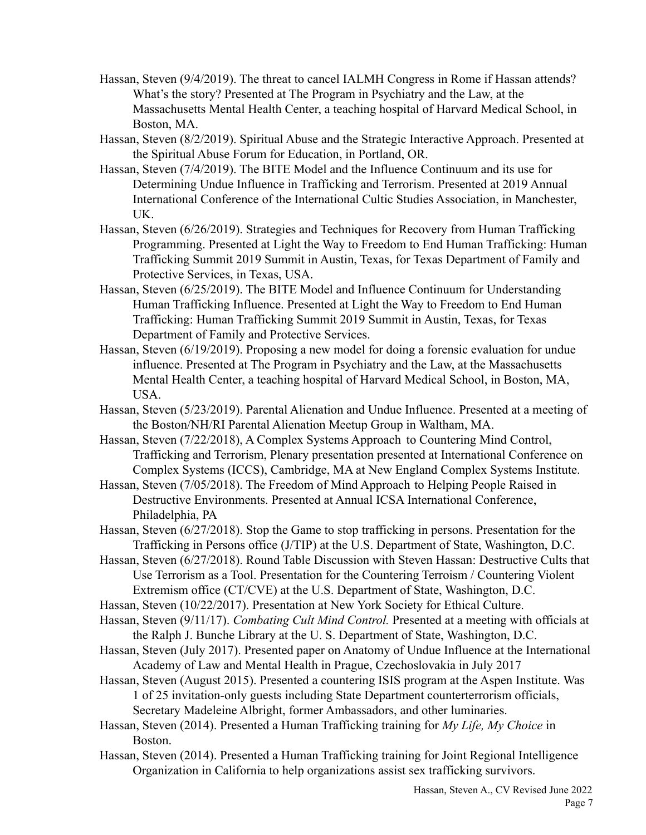- Hassan, Steven (9/4/2019). The threat to cancel IALMH Congress in Rome if Hassan attends? What's the story? Presented at The Program in Psychiatry and the Law, at the Massachusetts Mental Health Center, a teaching hospital of Harvard Medical School, in Boston, MA.
- Hassan, Steven (8/2/2019). Spiritual Abuse and the Strategic Interactive Approach. Presented at the Spiritual Abuse Forum for Education, in Portland, OR.
- Hassan, Steven (7/4/2019). The BITE Model and the Influence Continuum and its use for Determining Undue Influence in Trafficking and Terrorism. Presented at 2019 Annual International Conference of the International Cultic Studies Association, in Manchester, UK.
- Hassan, Steven (6/26/2019). Strategies and Techniques for Recovery from Human Trafficking Programming. Presented at Light the Way to Freedom to End Human Trafficking: Human Trafficking Summit 2019 Summit in Austin, Texas, for Texas Department of Family and Protective Services, in Texas, USA.
- Hassan, Steven (6/25/2019). The BITE Model and Influence Continuum for Understanding Human Trafficking Influence. Presented at Light the Way to Freedom to End Human Trafficking: Human Trafficking Summit 2019 Summit in Austin, Texas, for Texas Department of Family and Protective Services.
- Hassan, Steven (6/19/2019). Proposing a new model for doing a forensic evaluation for undue influence. Presented at The Program in Psychiatry and the Law, at the Massachusetts Mental Health Center, a teaching hospital of Harvard Medical School, in Boston, MA, USA.
- Hassan, Steven (5/23/2019). Parental Alienation and Undue Influence. Presented at a meeting of the Boston/NH/RI Parental Alienation Meetup Group in Waltham, MA.
- Hassan, Steven (7/22/2018), A Complex Systems Approach to Countering Mind Control, Trafficking and Terrorism, Plenary presentation presented at International Conference on Complex Systems (ICCS), Cambridge, MA at New England Complex Systems Institute.
- Hassan, Steven (7/05/2018). The Freedom of Mind Approach to Helping People Raised in Destructive Environments. Presented at Annual ICSA International Conference, Philadelphia, PA
- Hassan, Steven (6/27/2018). Stop the Game to stop trafficking in persons. Presentation for the Trafficking in Persons office (J/TIP) at the U.S. Department of State, Washington, D.C.
- Hassan, Steven (6/27/2018). Round Table Discussion with Steven Hassan: Destructive Cults that Use Terrorism as a Tool. Presentation for the Countering Terroism / Countering Violent Extremism office (CT/CVE) at the U.S. Department of State, Washington, D.C.
- Hassan, Steven (10/22/2017). Presentation at New York Society for Ethical Culture.
- Hassan, Steven (9/11/17). *Combating Cult Mind Control.* Presented at a meeting with officials at the Ralph J. Bunche Library at the U. S. Department of State, Washington, D.C.
- Hassan, Steven (July 2017). Presented paper on Anatomy of Undue Influence at the International Academy of Law and Mental Health in Prague, Czechoslovakia in July 2017
- Hassan, Steven (August 2015). Presented a countering ISIS program at the Aspen Institute. Was 1 of 25 invitation-only guests including State Department counterterrorism officials, Secretary Madeleine Albright, former Ambassadors, and other luminaries.
- Hassan, Steven (2014). Presented a Human Trafficking training for *My Life, My Choice* in Boston.
- Hassan, Steven (2014). Presented a Human Trafficking training for Joint Regional Intelligence Organization in California to help organizations assist sex trafficking survivors.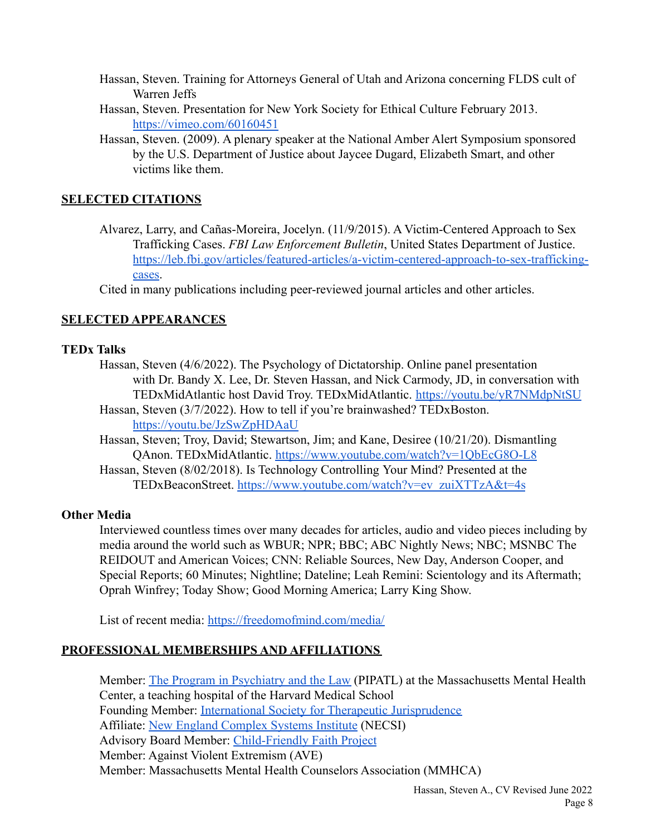- Hassan, Steven. Training for Attorneys General of Utah and Arizona concerning FLDS cult of Warren Jeffs
- Hassan, Steven. Presentation for New York Society for Ethical Culture February 2013. <https://vimeo.com/60160451>
- Hassan, Steven. (2009). A plenary speaker at the National Amber Alert Symposium sponsored by the U.S. Department of Justice about Jaycee Dugard, Elizabeth Smart, and other victims like them.

### **SELECTED CITATIONS**

Alvarez, Larry, and Cañas-Moreira, Jocelyn. (11/9/2015). A Victim-Centered Approach to Sex Trafficking Cases. *FBI Law Enforcement Bulletin*, United States Department of Justice. [https://leb.fbi.gov/articles/featured-articles/a-victim-centered-approach-to-sex-trafficking](https://leb.fbi.gov/articles/featured-articles/a-victim-centered-approach-to-sex-trafficking-cases)[cases](https://leb.fbi.gov/articles/featured-articles/a-victim-centered-approach-to-sex-trafficking-cases).

Cited in many publications including peer-reviewed journal articles and other articles.

## **SELECTED APPEARANCES**

#### **TEDx Talks**

- Hassan, Steven (4/6/2022). The Psychology of Dictatorship. Online panel presentation with Dr. Bandy X. Lee, Dr. Steven Hassan, and Nick Carmody, JD, in conversation with TEDxMidAtlantic host David Troy. TEDxMidAtlantic. <https://youtu.be/yR7NMdpNtSU>
- Hassan, Steven (3/7/2022). How to tell if you're brainwashed? TEDxBoston. <https://youtu.be/JzSwZpHDAaU>
- Hassan, Steven; Troy, David; Stewartson, Jim; and Kane, Desiree (10/21/20). Dismantling QAnon. TEDxMidAtlantic. <https://www.youtube.com/watch?v=1QbEcG8O-L8>
- Hassan, Steven (8/02/2018). [Is Technology Controlling](https://www.youtube.com/watch?v=ev_zuiXTTzA&t=4s) Your Mind? Presented at the TEDxBeaconStreet. [https://www.youtube.com/watch?v=ev\\_zuiXTTzA&t=4s](https://www.youtube.com/watch?v=ev_zuiXTTzA&t=4s)

## **Other Media**

Interviewed countless times over many decades for articles, audio and video pieces including by media around the world such as WBUR; NPR; BBC; ABC Nightly News; NBC; MSNBC The REIDOUT and American Voices; CNN: Reliable Sources, New Day, Anderson Cooper, and Special Reports; 60 Minutes; Nightline; Dateline; Leah Remini: Scientology and its Aftermath; Oprah Winfrey; Today Show; Good Morning America; Larry King Show.

List of recent media: <https://freedomofmind.com/media/>

## **PROFESSIONAL MEMBERSHIPS AND AFFILIATIONS**

Member: [The Program in Psychiatry and the Law](http://www.pipatl.org/) (PIPATL) at the Massachusetts Mental Health Center, a teaching hospital of the Harvard Medical School Founding Member: [International Society for Therapeutic](https://www.intltj.com) Jurisprudence Affiliate: [New England Complex Systems Institute](http://necsi.edu/) (NECSI) Advisory Board Member: [Child-Friendly Faith Project](http://childfriendlyfaith.org) Member: Against Violent Extremism (AVE) Member: Massachusetts Mental Health Counselors Association (MMHCA)